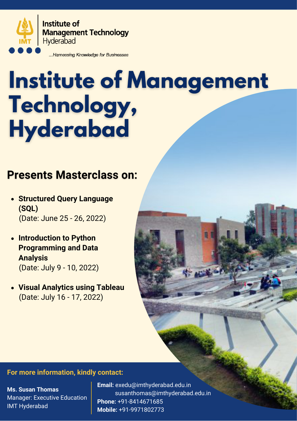

**Institute of Management Technology** Hyderabad

...Harnessing Knowledge for Businesses

# **Institute of Management** Technology, **Hyderabad**

### **Presents Masterclass on:**

- **Structured Query Language (SQL)** (Date: June 25 - 26, 2022)
- **Introduction to Python Programming and Data Analysis** (Date: July 9 - 10, 2022)
- **Visual Analytics using Tableau** (Date: July 16 - 17, 2022)

### **For more information, kindly contact:**

**Ms. Susan Thomas** Manager: Executive Education IMT Hyderabad

**Email:** exedu@imthyderabad.edu.in susanthomas@imthyderabad.edu.in **Phone:** +91-8414671685 **Mobile:** +91-9971802773

**AND ACCESS**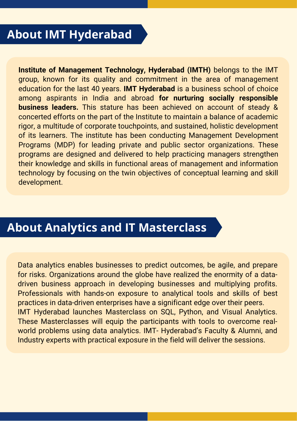# **About IMT Hyderabad**

**Institute of Management Technology, Hyderabad (IMTH)** belongs to the IMT group, known for its quality and commitment in the area of management education for the last 40 years. **IMT Hyderabad** is a business school of choice among aspirants in India and abroad **for nurturing socially responsible business leaders.** This stature has been achieved on account of steady & concerted efforts on the part of the Institute to maintain a balance of academic rigor, a multitude of corporate touchpoints, and sustained, holistic development of its learners. The institute has been conducting Management Development Programs (MDP) for leading private and public sector organizations. These programs are designed and delivered to help practicing managers strengthen their knowledge and skills in functional areas of management and information technology by focusing on the twin objectives of conceptual learning and skill development.

### **About Analytics and IT Masterclass**

Data analytics enables businesses to predict outcomes, be agile, and prepare for risks. Organizations around the globe have realized the enormity of a datadriven business approach in developing businesses and multiplying profits. Professionals with hands-on exposure to analytical tools and skills of best practices in data-driven enterprises have a significant edge over their peers. IMT Hyderabad launches Masterclass on SQL, Python, and Visual Analytics. These Masterclasses will equip the participants with tools to overcome realworld problems using data analytics. IMT- Hyderabad's Faculty & Alumni, and Industry experts with practical exposure in the field will deliver the sessions.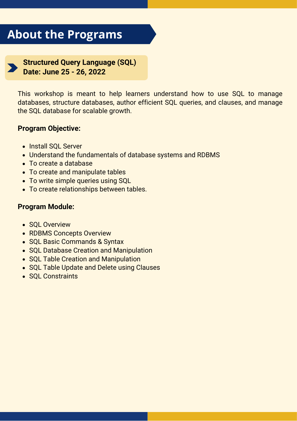# **About the Programs**

**Structured Query Language (SQL) Date: June 25 - 26, 2022**

This workshop is meant to help learners understand how to use SQL to manage databases, structure databases, author efficient SQL queries, and clauses, and manage the SQL database for scalable growth.

### **Program Objective:**

- Install SQL Server
- Understand the fundamentals of database systems and RDBMS
- To create a database
- To create and manipulate tables
- To write simple queries using SQL
- To create relationships between tables.

### **Program Module:**

- SQL Overview
- RDBMS Concepts Overview
- SQL Basic Commands & Syntax
- SQL Database Creation and Manipulation
- SQL Table Creation and Manipulation
- SQL Table Update and Delete using Clauses
- SQL Constraints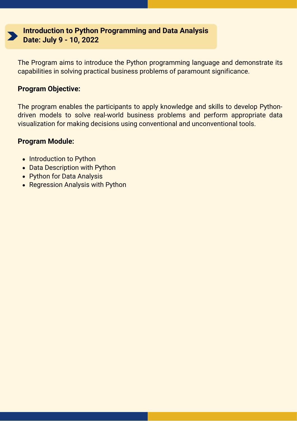

**Introduction to Python Programming and Data Analysis Date: July 9 - 10, 2022**

The Program aims to introduce the Python programming language and demonstrate its capabilities in solving practical business problems of paramount significance.

### **Program Objective:**

The program enables the participants to apply knowledge and skills to develop Pythondriven models to solve real-world business problems and perform appropriate data visualization for making decisions using conventional and unconventional tools.

#### **Program Module:**

- Introduction to Python
- Data Description with Python
- Python for Data Analysis
- Regression Analysis with Python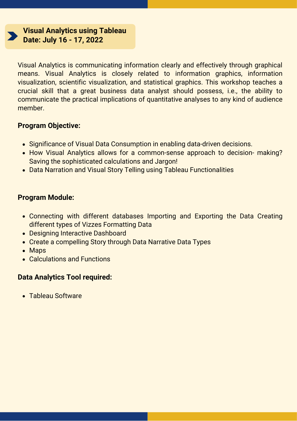**Visual Analytics using Tableau Date: July 16 - 17, 2022**

Visual Analytics is communicating information clearly and effectively through graphical means. Visual Analytics is closely related to information graphics, information visualization, scientific visualization, and statistical graphics. This workshop teaches a crucial skill that a great business data analyst should possess, i.e., the ability to communicate the practical implications of quantitative analyses to any kind of audience member.

### **Program Objective:**

- Significance of Visual Data Consumption in enabling data-driven decisions.
- How Visual Analytics allows for a common-sense approach to decision- making? Saving the sophisticated calculations and Jargon!
- Data Narration and Visual Story Telling using Tableau Functionalities

### **Program Module:**

- Connecting with different databases Importing and Exporting the Data Creating different types of Vizzes Formatting Data
- Designing Interactive Dashboard
- Create a compelling Story through Data Narrative Data Types
- Maps
- Calculations and Functions

### **Data Analytics Tool required:**

Tableau Software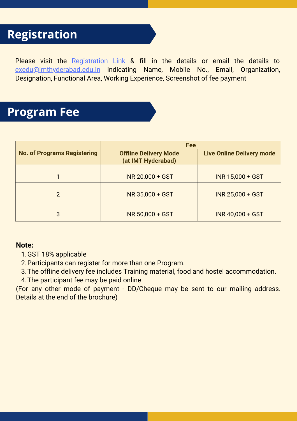# **Registration**

Please visit the [Registration Link](https://docs.google.com/forms/d/e/1FAIpQLSeBm3Bps4beCMw9OX4Nt2Z63M0Sh4OlsX3zJaVzvv3mGd8SYg/viewform) & fill in the details or email the details to [exedu@imthyderabad.edu.in](mailto:exedu@imthyderabad.edu.in) indicating Name, Mobile No., Email, Organization, Designation, Functional Area, Working Experience, Screenshot of fee payment

### **Program Fee**

| <b>No. of Programs Registering</b> | <b>Fee</b>                                         |                                  |
|------------------------------------|----------------------------------------------------|----------------------------------|
|                                    | <b>Offline Delivery Mode</b><br>(at IMT Hyderabad) | <b>Live Online Delivery mode</b> |
|                                    | <b>INR 20,000 + GST</b>                            | INR 15,000 + GST                 |
| 2                                  | <b>INR 35,000 + GST</b>                            | INR 25,000 + GST                 |
| 3                                  | <b>INR 50,000 + GST</b>                            | <b>INR 40,000 + GST</b>          |

### **Note:**

- 1. GST 18% applicable
- 2. Participants can register for more than one Program.
- 3. The offline delivery fee includes Training material, food and hostel accommodation.
- The participant fee may be paid online. 4.

(For any other mode of payment - DD/Cheque may be sent to our mailing address. Details at the end of the brochure)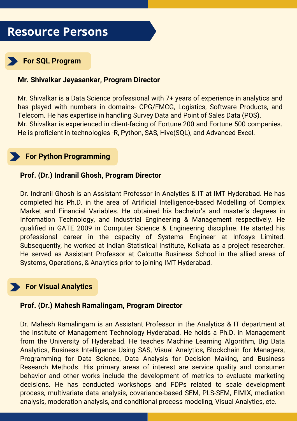### **Resource Persons**



### **For SQL Program**

#### **Mr. Shivalkar Jeyasankar, Program Director**

Mr. Shivalkar is a Data Science professional with 7+ years of experience in analytics and has played with numbers in domains- CPG/FMCG, Logistics, Software Products, and Telecom. He has expertise in handling Survey Data and Point of Sales Data (POS). Mr. Shivalkar is experienced in client-facing of Fortune 200 and Fortune 500 companies. He is proficient in technologies -R, Python, SAS, Hive(SQL), and Advanced Excel.

### **For Python Programming**

#### **Prof. (Dr.) Indranil Ghosh, Program Director**

Dr. Indranil Ghosh is an Assistant Professor in Analytics & IT at IMT Hyderabad. He has completed his Ph.D. in the area of Artificial Intelligence-based Modelling of Complex Market and Financial Variables. He obtained his bachelor's and master's degrees in Information Technology, and Industrial Engineering & Management respectively. He qualified in GATE 2009 in Computer Science & Engineering discipline. He started his professional career in the capacity of Systems Engineer at Infosys Limited. Subsequently, he worked at Indian Statistical Institute, Kolkata as a project researcher. He served as Assistant Professor at Calcutta Business School in the allied areas of Systems, Operations, & Analytics prior to joining IMT Hyderabad.

### **For Visual Analytics**

#### **Prof. (Dr.) Mahesh Ramalingam, Program Director**

Dr. Mahesh Ramalingam is an Assistant Professor in the Analytics & IT department at the Institute of Management Technology Hyderabad. He holds a Ph.D. in Management from the University of Hyderabad. He teaches Machine Learning Algorithm, Big Data Analytics, Business Intelligence Using SAS, Visual Analytics, Blockchain for Managers, Programming for Data Science, Data Analysis for Decision Making, and Business Research Methods. His primary areas of interest are service quality and consumer behavior and other works include the development of metrics to evaluate marketing decisions. He has conducted workshops and FDPs related to scale development process, multivariate data analysis, covariance-based SEM, PLS-SEM, FIMIX, mediation analysis, moderation analysis, and conditional process modeling, Visual Analytics, etc.